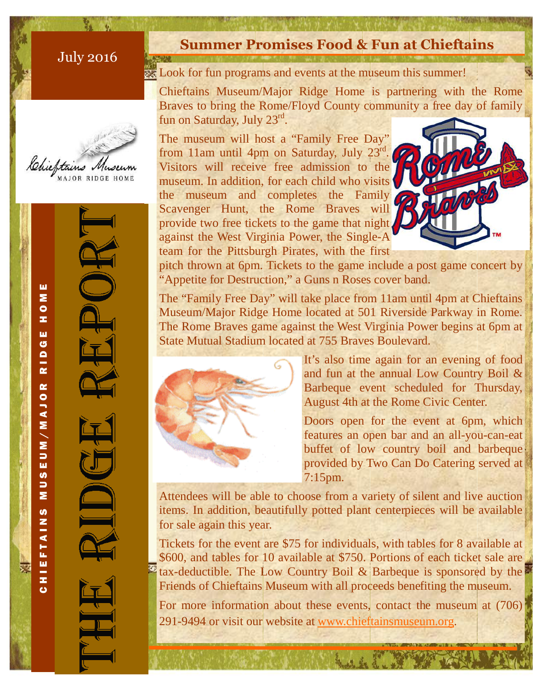## July 2016



C H I E F T A I N S M U S E U M A J O R R I D G E H O M E<br>C

EUM/MAJO

 $\overline{5}$ Σ

U)

**EFTAIN** 

TH<sub>O</sub>

 $\alpha$ 

Σ  $\bullet$ z, ш G  $\blacksquare$  $\overline{\mathbf{r}}$ 

# **Summer Promises Food & Fun at Chieftains**

**Look for fun programs and events at the museum this summer!** 

Chieftains Museum/Major Ridge Home is partnering with the Rome Braves to bring the Rome/Floyd County community a free day of family fun on Saturday, July 23rd.

The museum will host a "Family Free Day" from 11am until 4pm on Saturday, July 23<sup>rd</sup>. Visitors will receive free admission to the museum. In addition, for each child who visits the museum and completes the Family Scavenger Hunt, the Rome Braves will provide two free tickets to the game that night against the West Virginia Power, the Single-A team for the Pittsburgh Pirates, with the first



pitch thrown at 6pm. Tickets to the game include a post game concert by "Appetite for Destruction," a Guns n Roses cover band.

The "Family Free Day" will take place from 11am until 4pm at Chieftains Museum/Major Ridge Home located at 501 Riverside Parkway in Rome. The Rome Braves game against the West Virginia Power begins at 6pm at State Mutual Stadium located at 755 Braves Boulevard.



It's also time again for an evening of food and fun at the annual Low Country Boil & Barbeque event scheduled for Thursday, August 4th at the Rome Civic Center.

Doors open for the event at 6pm, which features an open bar and an all-you-can-eat buffet of low country boil and barbeque provided by Two Can Do Catering served at 7:15pm.

Attendees will be able to choose from a variety of silent and live auction items. In addition, beautifully potted plant centerpieces will be available for sale again this year.

Tickets for the event are \$75 for individuals, with tables for 8 available at \$600, and tables for 10 available at \$750. Portions of each ticket sale are  $\frac{1}{2}$  tax-deductible. The Low Country Boil & Barbeque is sponsored by the Friends of Chieftains Museum with all proceeds benefiting the museum.

For more information about these events, contact the museum at (706) 291-9494 or visit our website at www.chieftainsmuseum.org.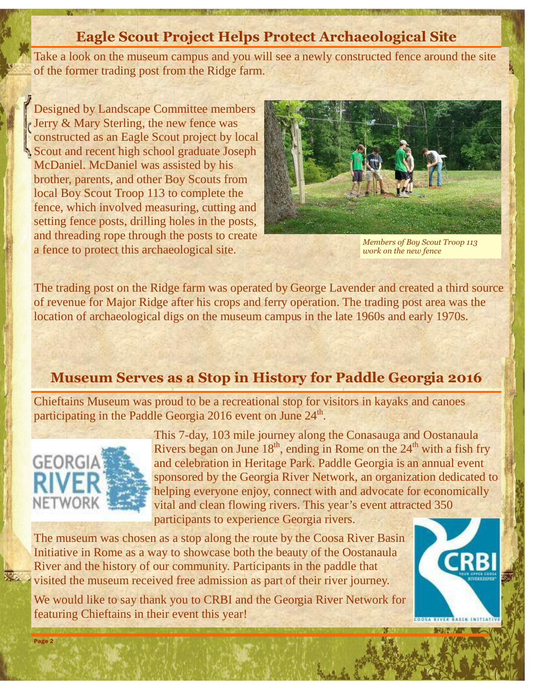# **Eagle Scout Project Helps Protect Archaeological Site**

Take a look on the museum campus and you will see a newly constructed fence around the site of the former trading post from the Ridge farm.

Designed by Landscape Committee members Jerry & Mary Sterling, the new fence was constructed as an Eagle Scout project by local Scout and recent high school graduate Joseph McDaniel. McDaniel was assisted by his brother, parents, and other Boy Scouts from local Boy Scout Troop 113 to complete the fence, which involved measuring, cutting and setting fence posts, drilling holes in the posts, and threading rope through the posts to create a fence to protect this archaeological site.



*Members of Boy Scout Troop 113 work on the new fence* 

The trading post on the Ridge farm was operated by George Lavender and created a third source of revenue for Major Ridge after his crops and ferry operation. The trading post area was the location of archaeological digs on the museum campus in the late 1960s and early 1970s.

#### **Museum Serves as a Stop in History for Paddle Georgia 2016**

Chieftains Museum was proud to be a recreational stop for visitors in kayaks and canoes participating in the Paddle Georgia 2016 event on June  $24^{\text{th}}$ .



This 7-day, 103 mile journey along the Conasauga and Oostanaula Rivers began on June  $18<sup>th</sup>$ , ending in Rome on the  $24<sup>th</sup>$  with a fish fry and celebration in Heritage Park. Paddle Georgia is an annual event sponsored by the Georgia River Network, an organization dedicated to helping everyone enjoy, connect with and advocate for economically vital and clean flowing rivers. This year's event attracted 350 participants to experience Georgia rivers.

The museum was chosen as a stop along the route by the Coosa River Basin Initiative in Rome as a way to showcase both the beauty of the Oostanaula River and the history of our community. Participants in the paddle that visited the museum received free admission as part of their river journey.

We would like to say thank you to CRBI and the Georgia River Network for featuring Chieftains in their event this year!

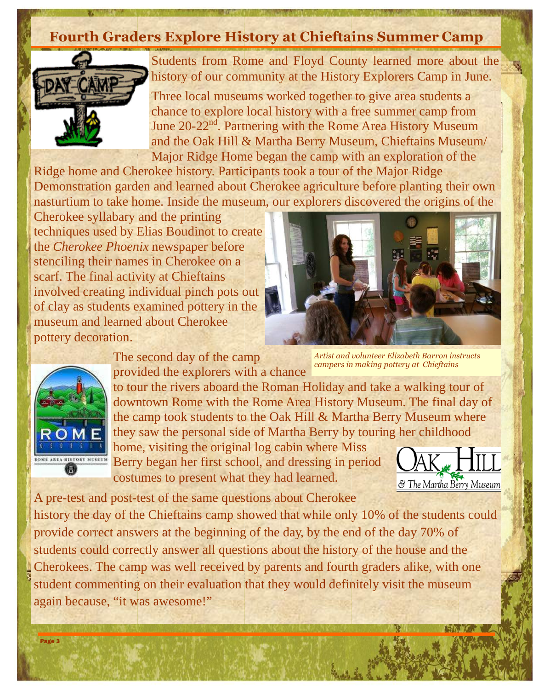# **Fourth Graders Explore History at Chieftains Summer Camp**



Page 3

V.

Students from Rome and Floyd County learned more about the history of our community at the History Explorers Camp in June.

Three local museums worked together to give area students a chance to explore local history with a free summer camp from June 20-22<sup>nd</sup>. Partnering with the Rome Area History Museum and the Oak Hill & Martha Berry Museum, Chieftains Museum/ Major Ridge Home began the camp with an exploration of the

Ridge home and Cherokee history. Participants took a tour of the Major Ridge Demonstration garden and learned about Cherokee agriculture before planting their own nasturtium to take home. Inside the museum, our explorers discovered the origins of the

Cherokee syllabary and the printing techniques used by Elias Boudinot to create the *Cherokee Phoenix* newspaper before stenciling their names in Cherokee on a scarf. The final activity at Chieftains involved creating individual pinch pots out of clay as students examined pottery in the museum and learned about Cherokee pottery decoration.

> The second day of the camp provided the explorers with a chance

to tour the rivers aboard the Roman Holiday and take a walking tour of downtown Rome with the Rome Area History Museum. The final day of the camp took students to the Oak Hill & Martha Berry Museum where they saw the personal side of Martha Berry by touring her childhood

home, visiting the original log cabin where Miss Berry began her first school, and dressing in period costumes to present what they had learned.

A pre-test and post-test of the same questions about Cherokee history the day of the Chieftains camp showed that while only 10% of the students could provide correct answers at the beginning of the day, by the end of the day 70% of students could correctly answer all questions about the history of the house and the Cherokees. The camp was well received by parents and fourth graders alike, with one student commenting on their evaluation that they would definitely visit the museum again because, "it was awesome!"

*Artist and volunteer Elizabeth Barron instructs* 





*campers in making pottery at Chieftains*